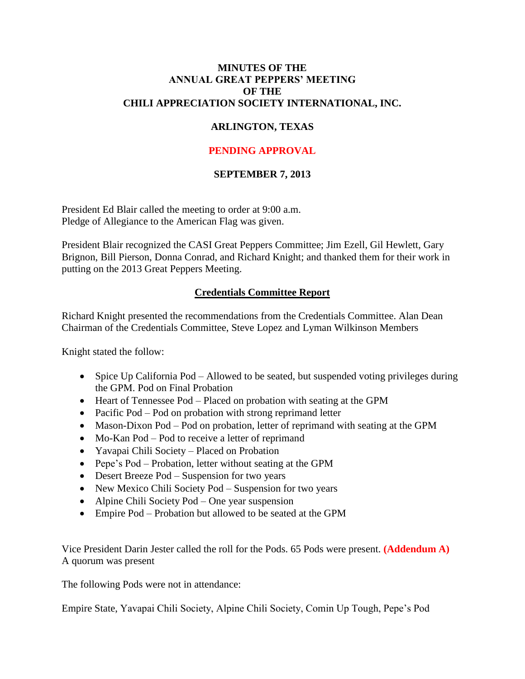### **MINUTES OF THE ANNUAL GREAT PEPPERS' MEETING OF THE CHILI APPRECIATION SOCIETY INTERNATIONAL, INC.**

# **ARLINGTON, TEXAS**

# **PENDING APPROVAL**

## **SEPTEMBER 7, 2013**

President Ed Blair called the meeting to order at 9:00 a.m. Pledge of Allegiance to the American Flag was given.

President Blair recognized the CASI Great Peppers Committee; Jim Ezell, Gil Hewlett, Gary Brignon, Bill Pierson, Donna Conrad, and Richard Knight; and thanked them for their work in putting on the 2013 Great Peppers Meeting.

## **Credentials Committee Report**

Richard Knight presented the recommendations from the Credentials Committee. Alan Dean Chairman of the Credentials Committee, Steve Lopez and Lyman Wilkinson Members

Knight stated the follow:

- Spice Up California Pod Allowed to be seated, but suspended voting privileges during the GPM. Pod on Final Probation
- Heart of Tennessee Pod Placed on probation with seating at the GPM
- Pacific Pod Pod on probation with strong reprimand letter
- Mason-Dixon Pod Pod on probation, letter of reprimand with seating at the GPM
- Mo-Kan Pod Pod to receive a letter of reprimand
- Yavapai Chili Society Placed on Probation
- Pepe's Pod Probation, letter without seating at the GPM
- Desert Breeze Pod Suspension for two years
- New Mexico Chili Society Pod Suspension for two years
- Alpine Chili Society Pod One year suspension
- Empire Pod Probation but allowed to be seated at the GPM

Vice President Darin Jester called the roll for the Pods. 65 Pods were present. **(Addendum A)** A quorum was present

The following Pods were not in attendance:

Empire State, Yavapai Chili Society, Alpine Chili Society, Comin Up Tough, Pepe's Pod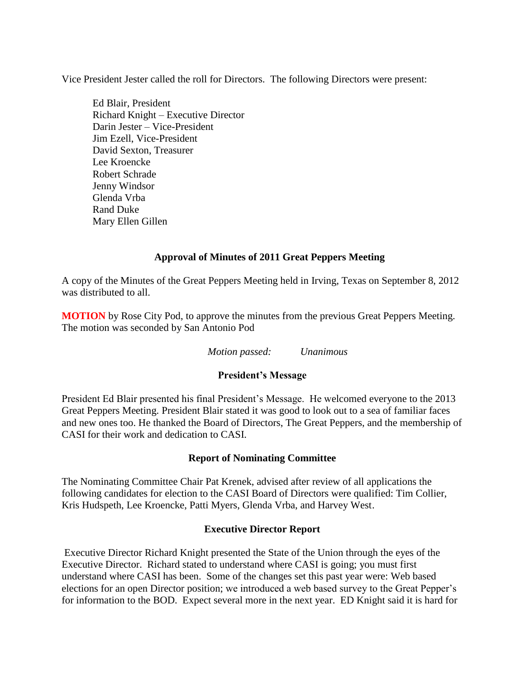Vice President Jester called the roll for Directors. The following Directors were present:

Ed Blair, President Richard Knight – Executive Director Darin Jester – Vice-President Jim Ezell, Vice-President David Sexton, Treasurer Lee Kroencke Robert Schrade Jenny Windsor Glenda Vrba Rand Duke Mary Ellen Gillen

## **Approval of Minutes of 2011 Great Peppers Meeting**

A copy of the Minutes of the Great Peppers Meeting held in Irving, Texas on September 8, 2012 was distributed to all.

**MOTION** by Rose City Pod, to approve the minutes from the previous Great Peppers Meeting. The motion was seconded by San Antonio Pod

*Motion passed: Unanimous*

### **President's Message**

President Ed Blair presented his final President's Message. He welcomed everyone to the 2013 Great Peppers Meeting. President Blair stated it was good to look out to a sea of familiar faces and new ones too. He thanked the Board of Directors, The Great Peppers, and the membership of CASI for their work and dedication to CASI.

### **Report of Nominating Committee**

The Nominating Committee Chair Pat Krenek, advised after review of all applications the following candidates for election to the CASI Board of Directors were qualified: Tim Collier, Kris Hudspeth, Lee Kroencke, Patti Myers, Glenda Vrba, and Harvey West.

### **Executive Director Report**

Executive Director Richard Knight presented the State of the Union through the eyes of the Executive Director. Richard stated to understand where CASI is going; you must first understand where CASI has been. Some of the changes set this past year were: Web based elections for an open Director position; we introduced a web based survey to the Great Pepper's for information to the BOD. Expect several more in the next year. ED Knight said it is hard for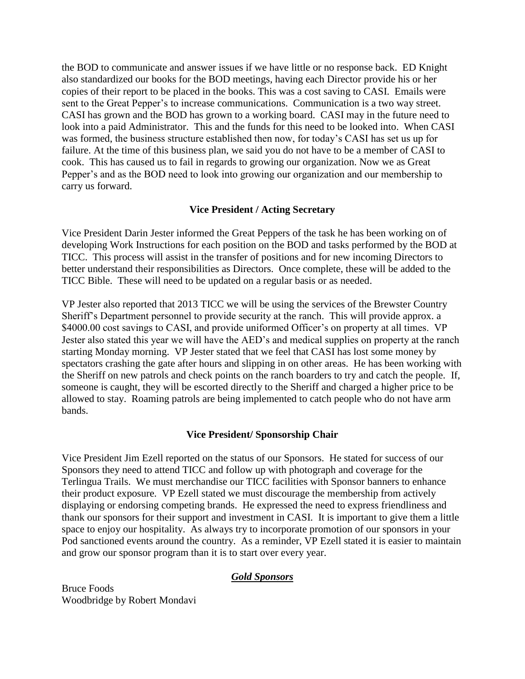the BOD to communicate and answer issues if we have little or no response back. ED Knight also standardized our books for the BOD meetings, having each Director provide his or her copies of their report to be placed in the books. This was a cost saving to CASI. Emails were sent to the Great Pepper's to increase communications. Communication is a two way street. CASI has grown and the BOD has grown to a working board. CASI may in the future need to look into a paid Administrator. This and the funds for this need to be looked into. When CASI was formed, the business structure established then now, for today's CASI has set us up for failure. At the time of this business plan, we said you do not have to be a member of CASI to cook. This has caused us to fail in regards to growing our organization. Now we as Great Pepper's and as the BOD need to look into growing our organization and our membership to carry us forward.

## **Vice President / Acting Secretary**

Vice President Darin Jester informed the Great Peppers of the task he has been working on of developing Work Instructions for each position on the BOD and tasks performed by the BOD at TICC. This process will assist in the transfer of positions and for new incoming Directors to better understand their responsibilities as Directors. Once complete, these will be added to the TICC Bible. These will need to be updated on a regular basis or as needed.

VP Jester also reported that 2013 TICC we will be using the services of the Brewster Country Sheriff's Department personnel to provide security at the ranch. This will provide approx. a \$4000.00 cost savings to CASI, and provide uniformed Officer's on property at all times. VP Jester also stated this year we will have the AED's and medical supplies on property at the ranch starting Monday morning. VP Jester stated that we feel that CASI has lost some money by spectators crashing the gate after hours and slipping in on other areas. He has been working with the Sheriff on new patrols and check points on the ranch boarders to try and catch the people. If, someone is caught, they will be escorted directly to the Sheriff and charged a higher price to be allowed to stay. Roaming patrols are being implemented to catch people who do not have arm bands.

## **Vice President/ Sponsorship Chair**

Vice President Jim Ezell reported on the status of our Sponsors. He stated for success of our Sponsors they need to attend TICC and follow up with photograph and coverage for the Terlingua Trails. We must merchandise our TICC facilities with Sponsor banners to enhance their product exposure. VP Ezell stated we must discourage the membership from actively displaying or endorsing competing brands. He expressed the need to express friendliness and thank our sponsors for their support and investment in CASI. It is important to give them a little space to enjoy our hospitality. As always try to incorporate promotion of our sponsors in your Pod sanctioned events around the country. As a reminder, VP Ezell stated it is easier to maintain and grow our sponsor program than it is to start over every year.

### *Gold Sponsors*

Bruce Foods Woodbridge by Robert Mondavi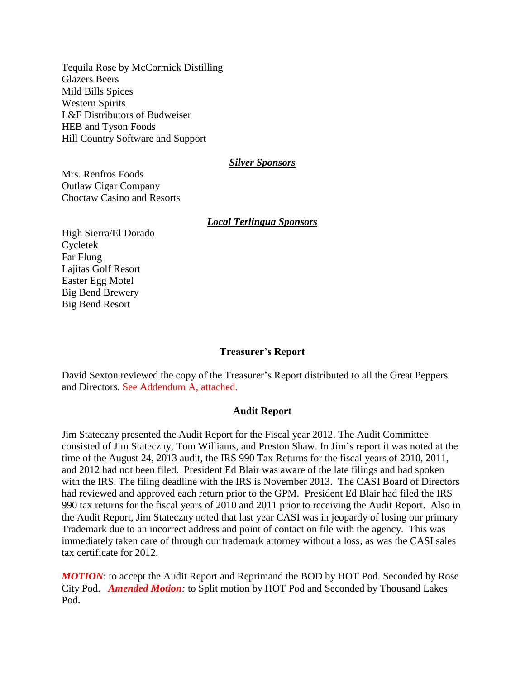Tequila Rose by McCormick Distilling Glazers Beers Mild Bills Spices Western Spirits L&F Distributors of Budweiser HEB and Tyson Foods Hill Country Software and Support

#### *Silver Sponsors*

Mrs. Renfros Foods Outlaw Cigar Company Choctaw Casino and Resorts

#### *Local Terlingua Sponsors*

High Sierra/El Dorado Cycletek Far Flung Lajitas Golf Resort Easter Egg Motel Big Bend Brewery Big Bend Resort

#### **Treasurer's Report**

David Sexton reviewed the copy of the Treasurer's Report distributed to all the Great Peppers and Directors. See Addendum A, attached.

#### **Audit Report**

Jim Stateczny presented the Audit Report for the Fiscal year 2012. The Audit Committee consisted of Jim Stateczny, Tom Williams, and Preston Shaw. In Jim's report it was noted at the time of the August 24, 2013 audit, the IRS 990 Tax Returns for the fiscal years of 2010, 2011, and 2012 had not been filed. President Ed Blair was aware of the late filings and had spoken with the IRS. The filing deadline with the IRS is November 2013. The CASI Board of Directors had reviewed and approved each return prior to the GPM. President Ed Blair had filed the IRS 990 tax returns for the fiscal years of 2010 and 2011 prior to receiving the Audit Report. Also in the Audit Report, Jim Stateczny noted that last year CASI was in jeopardy of losing our primary Trademark due to an incorrect address and point of contact on file with the agency. This was immediately taken care of through our trademark attorney without a loss, as was the CASI sales tax certificate for 2012.

*MOTION*: to accept the Audit Report and Reprimand the BOD by HOT Pod. Seconded by Rose City Pod. *Amended Motion:* to Split motion by HOT Pod and Seconded by Thousand Lakes Pod.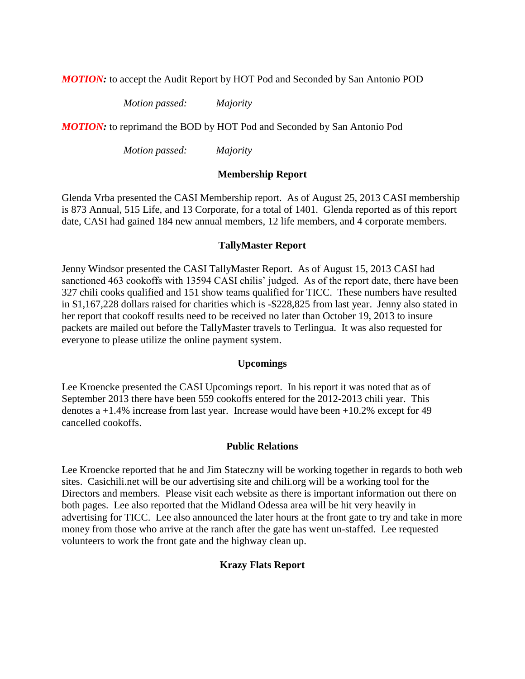*MOTION:* to accept the Audit Report by HOT Pod and Seconded by San Antonio POD

*Motion passed: Majority*

*MOTION:* to reprimand the BOD by HOT Pod and Seconded by San Antonio Pod

*Motion passed: Majority*

### **Membership Report**

Glenda Vrba presented the CASI Membership report. As of August 25, 2013 CASI membership is 873 Annual, 515 Life, and 13 Corporate, for a total of 1401. Glenda reported as of this report date, CASI had gained 184 new annual members, 12 life members, and 4 corporate members.

### **TallyMaster Report**

Jenny Windsor presented the CASI TallyMaster Report. As of August 15, 2013 CASI had sanctioned 463 cookoffs with 13594 CASI chilis' judged. As of the report date, there have been 327 chili cooks qualified and 151 show teams qualified for TICC. These numbers have resulted in \$1,167,228 dollars raised for charities which is -\$228,825 from last year. Jenny also stated in her report that cookoff results need to be received no later than October 19, 2013 to insure packets are mailed out before the TallyMaster travels to Terlingua. It was also requested for everyone to please utilize the online payment system.

### **Upcomings**

Lee Kroencke presented the CASI Upcomings report. In his report it was noted that as of September 2013 there have been 559 cookoffs entered for the 2012-2013 chili year. This denotes a +1.4% increase from last year. Increase would have been +10.2% except for 49 cancelled cookoffs.

### **Public Relations**

Lee Kroencke reported that he and Jim Stateczny will be working together in regards to both web sites. Casichili.net will be our advertising site and chili.org will be a working tool for the Directors and members. Please visit each website as there is important information out there on both pages. Lee also reported that the Midland Odessa area will be hit very heavily in advertising for TICC. Lee also announced the later hours at the front gate to try and take in more money from those who arrive at the ranch after the gate has went un-staffed. Lee requested volunteers to work the front gate and the highway clean up.

## **Krazy Flats Report**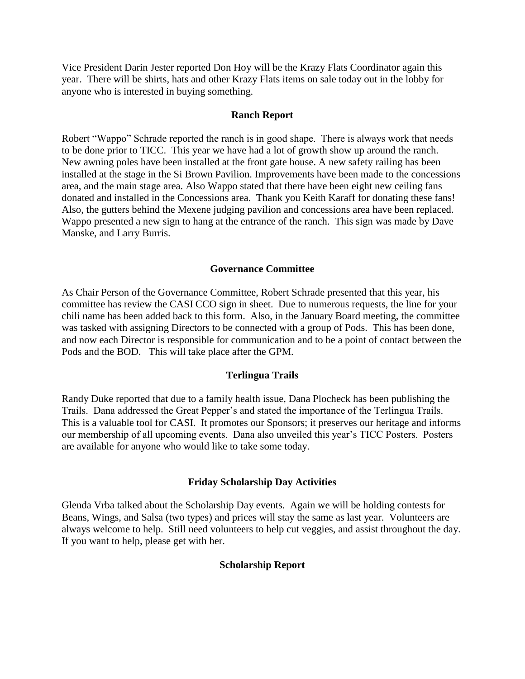Vice President Darin Jester reported Don Hoy will be the Krazy Flats Coordinator again this year. There will be shirts, hats and other Krazy Flats items on sale today out in the lobby for anyone who is interested in buying something.

#### **Ranch Report**

Robert "Wappo" Schrade reported the ranch is in good shape. There is always work that needs to be done prior to TICC. This year we have had a lot of growth show up around the ranch. New awning poles have been installed at the front gate house. A new safety railing has been installed at the stage in the Si Brown Pavilion. Improvements have been made to the concessions area, and the main stage area. Also Wappo stated that there have been eight new ceiling fans donated and installed in the Concessions area. Thank you Keith Karaff for donating these fans! Also, the gutters behind the Mexene judging pavilion and concessions area have been replaced. Wappo presented a new sign to hang at the entrance of the ranch. This sign was made by Dave Manske, and Larry Burris.

#### **Governance Committee**

As Chair Person of the Governance Committee, Robert Schrade presented that this year, his committee has review the CASI CCO sign in sheet. Due to numerous requests, the line for your chili name has been added back to this form. Also, in the January Board meeting, the committee was tasked with assigning Directors to be connected with a group of Pods. This has been done, and now each Director is responsible for communication and to be a point of contact between the Pods and the BOD. This will take place after the GPM.

#### **Terlingua Trails**

Randy Duke reported that due to a family health issue, Dana Plocheck has been publishing the Trails. Dana addressed the Great Pepper's and stated the importance of the Terlingua Trails. This is a valuable tool for CASI. It promotes our Sponsors; it preserves our heritage and informs our membership of all upcoming events. Dana also unveiled this year's TICC Posters. Posters are available for anyone who would like to take some today.

#### **Friday Scholarship Day Activities**

Glenda Vrba talked about the Scholarship Day events. Again we will be holding contests for Beans, Wings, and Salsa (two types) and prices will stay the same as last year. Volunteers are always welcome to help. Still need volunteers to help cut veggies, and assist throughout the day. If you want to help, please get with her.

#### **Scholarship Report**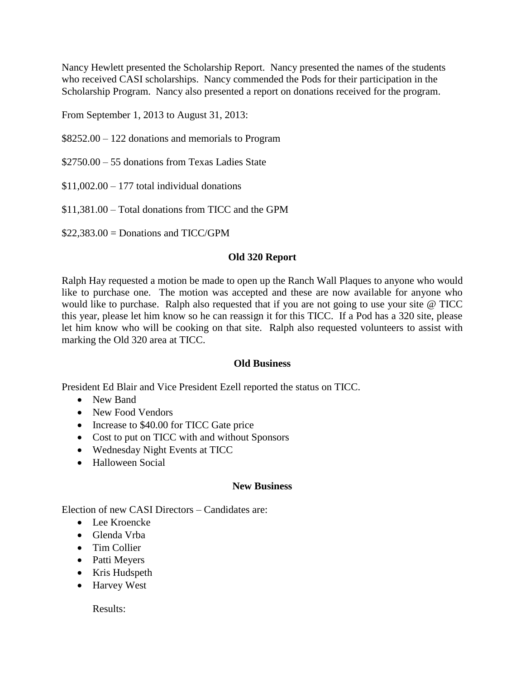Nancy Hewlett presented the Scholarship Report. Nancy presented the names of the students who received CASI scholarships. Nancy commended the Pods for their participation in the Scholarship Program. Nancy also presented a report on donations received for the program.

From September 1, 2013 to August 31, 2013:

\$8252.00 – 122 donations and memorials to Program

\$2750.00 – 55 donations from Texas Ladies State

 $$11,002.00 - 177$  total individual donations

\$11,381.00 – Total donations from TICC and the GPM

 $$22,383.00 =$  Donations and TICC/GPM

### **Old 320 Report**

Ralph Hay requested a motion be made to open up the Ranch Wall Plaques to anyone who would like to purchase one. The motion was accepted and these are now available for anyone who would like to purchase. Ralph also requested that if you are not going to use your site @ TICC this year, please let him know so he can reassign it for this TICC. If a Pod has a 320 site, please let him know who will be cooking on that site. Ralph also requested volunteers to assist with marking the Old 320 area at TICC.

### **Old Business**

President Ed Blair and Vice President Ezell reported the status on TICC.

- New Band
- New Food Vendors
- Increase to \$40.00 for TICC Gate price
- Cost to put on TICC with and without Sponsors
- Wednesday Night Events at TICC
- Halloween Social

### **New Business**

Election of new CASI Directors – Candidates are:

- Lee Kroencke
- Glenda Vrba
- Tim Collier
- Patti Meyers
- Kris Hudspeth
- Harvey West

Results: